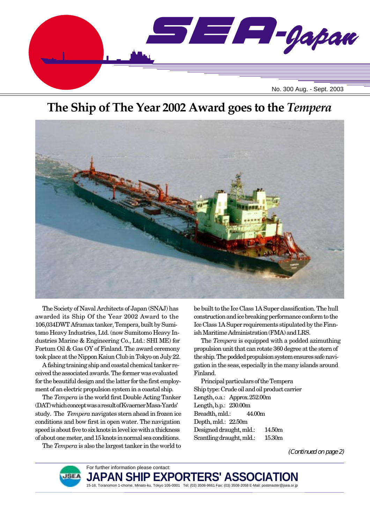

# **The Ship of The Year 2002 Award goes to the** *Tempera*



The Society of Naval Architects of Japan (SNAJ) has awarded its Ship Of the Year 2002 Award to the 106,034DWT Aframax tanker, Tempera, built by Sumitomo Heavy Industries, Ltd. (now Sumitomo Heavy Industries Marine & Engineering Co., Ltd.: SHI ME) for Fortum Oil & Gas OY of Finland. The award ceremony took place at the Nippon Kaiun Club in Tokyo on July 22.

A fishing training ship and coastal chemical tanker received the associated awards. The former was evaluated for the beautiful design and the latter for the first employment of an electric propulsion system in a coastal ship.

The *Tempera* is the world first Double Acting Tanker (DAT) which concept was a result of Kvaerner Masa-Yards' study. The *Tempera* navigates stern ahead in frozen ice conditions and bow first in open water. The navigation speed is about five to six knots in level ice with a thickness of about one meter, and 15 knots in normal sea conditions.

The *Tempera* is also the largest tanker in the world to

be built to the Ice Class 1A Super classification. The hull construction and ice breaking performance conform to the Ice Class 1A Super requirements stipulated by the Finnish Maritime Administration (FMA) and LRS.

The *Tempera* is equipped with a podded azimuthing propulsion unit that can rotate 360 degree at the stern of the ship. The podded propulsion system ensures safe navigation in the seas, especially in the many islands around Finland.

Principal particulars of the Tempera Ship type: Crude oil and oil product carrier Length, o.a.: Approx. 252.00m Length, b.p.: 230.00m Breadth, mld.: 44.00m Depth, mld.: 22.50m Designed draught, mld.: 14.50m Scantling draught, mld.: 15.30m

(Continued on page 2)



**JAPAN SHI**I 15-16, Toranomon 1-chome, Minato-ku, Tokyo 105-0001 Tel: (03) 3508-9661 Fax: (03) 3508-2058 E-Mail: postmaster@jsea.or.jp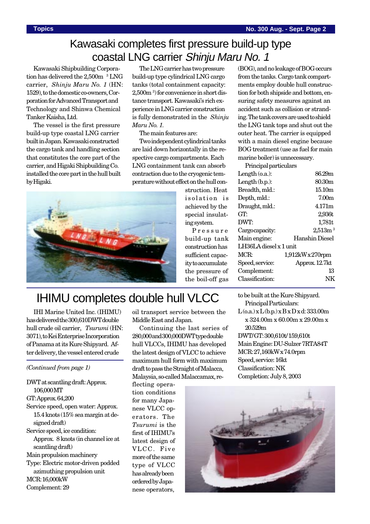## Kawasaki completes first pressure build-up type coastal LNG carrier Shinju Maru No. 1

Kawasaki Shipbuilding Corporation has delivered the 2,500m <sup>3</sup> LNG carrier, *Shinju Maru No. 1* (HN: 1529), to the domestic co-owners, Corporation for Advanced Transport and Technology and Shinwa Chemical Tanker Kaisha, Ltd.

The vessel is the first pressure build-up type coastal LNG carrier built in Japan. Kawasaki constructed the cargo tank and handling section that constitutes the core part of the carrier, and Higaki Shipbuilding Co. installed the core part in the hull built by Higaki.

The LNG carrier has two pressure build-up type cylindrical LNG cargo tanks (total containment capacity: 2,500m <sup>3</sup> ) for convenience in short distance transport. Kawasaki's rich experience in LNG carrier construction is fully demonstrated in the *Shinju Maru No. 1.*

The main features are:

Two independent cylindrical tanks are laid down horizontally in the respective cargo compartments. Each LNG containment tank can absorb contraction due to the cryogenic temperature without effect on the hull con-

> struction. Heat isolation is achieved by the special insulating system.

Pressure build-up tank construction has sufficient capacity to accumulate the pressure of the boil-off gas

(BOG), and no leakage of BOG occurs from the tanks. Cargo tank compartments employ double hull construction for both shipside and bottom, ensuring safety measures against an accident such as collision or stranding. The tank covers are used to shield the LNG tank tops and shut out the outer heat. The carrier is equipped with a main diesel engine because BOG treatment (use as fuel for main marine boiler) is unnecessary.

| Principal particulars   |                     |  |
|-------------------------|---------------------|--|
| Length $(0.a.)$ :       | 86.29m              |  |
| Length $(b.p.):$        | 80.30m              |  |
| Breadth, mld.:          | 15.10m              |  |
| Depth, mld.:            | 7.00 <sub>m</sub>   |  |
| Draught, mld.:          | 4.171m              |  |
| GT.                     | 2,936t              |  |
| DWT:                    | 1,781t              |  |
| Cargo capacity:         | 2,513m <sup>3</sup> |  |
| Main engine:            | Hanshin Diesel      |  |
| LH36LA diesel x 1 unit. |                     |  |
| MCR:                    | $1,912kWx270$ rpm   |  |
| Speed, service:         | Approx. 12.7kt      |  |
| Complement:             | 13                  |  |
| Classification:         |                     |  |
|                         |                     |  |



# IHIMU completes double hull VLCC

IHI Marine United Inc. (IHIMU) has delivered the 300,610DWT double hull crude oil carrier, *Tsurumi* (HN: 3071), to Kei Enterprise Incorporation of Panama at its Kure Shipyard. After delivery, the vessel entered crude

*(Continued from page 1)*

DWT at scantling draft: Approx. 106,000 MT

#### GT: Approx. 64,200

- Service speed, open water: Approx. 15.4 knots (15% sea margin at designed draft)
- Service speed, ice condition: Approx. 8 knots (in channel ice at scantling draft)
- Main propulsion machinery
- Type: Electric motor-driven podded azimuthing propulsion unit MCR: 16,000kW

Complement: 29

oil transport service between the Middle East and Japan.

Continuing the last series of 280,000 and 300,000DWT type double hull VLCCs, IHIMU has developed the latest design of VLCC to achieve maximum hull form with maximum draft to pass the Straight of Malacca, Malaysia, so-called Malaccamax, re-

flecting operation conditions for many Japanese VLCC operators. The *Tsurumi* is the first of IHIMU's latest design of VLCC. Five more of the same type of VLCC has already been ordered by Japanese operators,

to be built at the Kure Shipyard.

- Principal Particulars:  $L(o.a.)x L(b.p.)x B x D x d: 333.00m$
- x 324.00m x 60.00m x 29.00m x 20.529m

DWT/ GT: 300,610t/ 159,610t Main Engine: DU-Sulzer 7RTA84T MCR: 27,160kW x 74.0rpm Speed, service: 16kt Classification: NK Completion: July 8, 2003

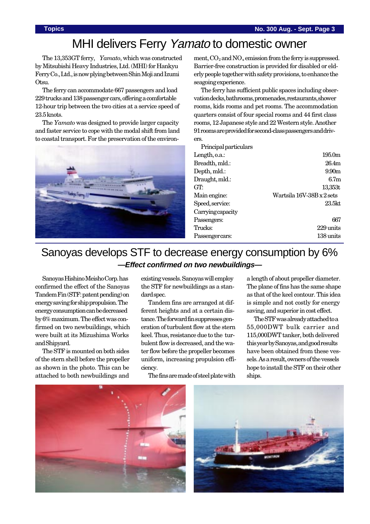# MHI delivers Ferry Yamato to domestic owner

The 13,353GT ferry, *Yamato*, which was constructed by Mitsubishi Heavy Industries, Ltd. (MHI) for Hankyu Ferry Co., Ltd., is now plying between Shin Moji and Izumi Otsu.

The ferry can accommodate 667 passengers and load 229 trucks and 138 passenger cars, offering a comfortable 12-hour trip between the two cities at a service speed of 23.5 knots.

The *Yamato* was designed to provide larger capacity and faster service to cope with the modal shift from land to coastal transport. For the preservation of the environ-



ment,  $CO<sub>2</sub>$  and  $NO<sub>x</sub>$  emission from the ferry is suppressed. Barrier-free construction is provided for disabled or elderly people together with safety provisions, to enhance the seagoing experience.

The ferry has sufficient public spaces including observation decks, bathrooms, promenades, restaurants, shower rooms, kids rooms and pet rooms. The accommodation quarters consist of four special rooms and 44 first class rooms, 12 Japanese style and 22 Western style. Another 91 rooms are provided for second-class passengers and drivers.

Principal particulars

| $\pm$ 2 and $\pm$ 0.000 $\pm$ 0.000 $\pm$ 0.000 $\pm$ |                           |
|-------------------------------------------------------|---------------------------|
| Length, o.a.:                                         | 195.0m                    |
| Breadth, mld.:                                        | 26.4m                     |
| Depth, mld.:                                          | 9.90 <sub>m</sub>         |
| Draught, mld.:                                        | 6.7 <sub>m</sub>          |
| GT:                                                   | 13,353t                   |
| Main engine:                                          | Wartsila 16V-38B x 2 sets |
| Speed, service:                                       | 23.5 <sub>kt</sub>        |
| Carryingcapacity                                      |                           |
| Passengers:                                           | 667                       |
| Trucks:                                               | 229 units                 |
| Passenger cars:                                       | 138 units                 |
|                                                       |                           |

## Sanoyas develops STF to decrease energy consumption by 6% **—Effect confirmed on two newbuildings—**

Sanoyas Hishino Meisho Corp. has confirmed the effect of the Sanoyas Tandem Fin (STF: patent pending) on energy saving for ship propulsion. The energy consumption can be decreased by 6% maximum. The effect was confirmed on two newbuildings, which were built at its Mizushima Works and Shipyard.

The STF is mounted on both sides of the stern shell before the propeller as shown in the photo. This can be attached to both newbuildings and

existing vessels. Sanoyas will employ the STF for newbuildings as a standard spec.

Tandem fins are arranged at different heights and at a certain distance. The forward fin suppresses generation of turbulent flow at the stern keel. Thus, resistance due to the turbulent flow is decreased, and the water flow before the propeller becomes uniform, increasing propulsion efficiency.

The fins are made of steel plate with

a length of about propeller diameter. The plane of fins has the same shape as that of the keel contour. This idea is simple and not costly for energy saving, and superior in cost effect.

The STF was already attached to a 55,000DWT bulk carrier and 115,000DWT tanker, both delivered this year by Sanoyas, and good results have been obtained from these vessels. As a result, owners of the vessels hope to install the STF on their other ships.



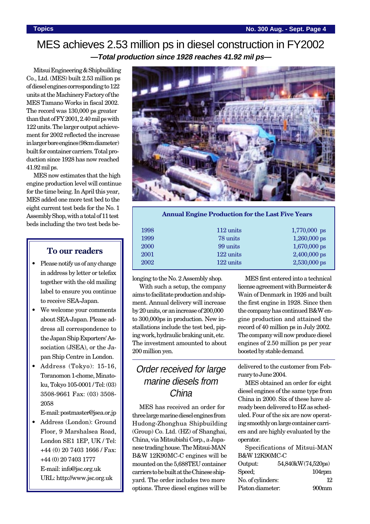#### MES achieves 2.53 million ps in diesel construction in FY2002 **—Total production since 1928 reaches 41.92 mil ps—**

Mitsui Engineering & Shipbuilding Co., Ltd. (MES) built 2.53 million ps of diesel engines corresponding to 122 units at the Machinery Factory of the MES Tamano Works in fiscal 2002. The record was 130,000 ps greater than that of FY 2001, 2.40 mil ps with 122 units. The larger output achievement for 2002 reflected the increase in larger bore engines (98cm diameter) built for container carriers. Total production since 1928 has now reached 41.92 mil ps.

MES now estimates that the high engine production level will continue for the time being. In April this year, MES added one more test bed to the eight current test beds for the No. 1 Assembly Shop, with a total of 11 test beds including the two test beds be-

#### **To our readers**

- Please notify us of any change in address by letter or telefax together with the old mailing label to ensure you continue to receive SEA-Japan.
- We welcome your comments about SEA-Japan. Please address all correspondence to the Japan Ship Exporters' Association (JSEA), or the Japan Ship Centre in London.
- Address (Tokyo): 15-16, Toranomon 1-chome, Minatoku, Tokyo 105-0001 / Tel: (03) 3508-9661 Fax: (03) 3508- 2058

E-mail: postmaster@jsea.or.jp

• Address (London): Ground Floor, 9 Marshalsea Road, London SE1 1EP, UK / Tel: +44 (0) 20 7403 1666 / Fax: +44 (0) 20 7403 1777 E-mail: info@jsc.org.uk URL: http://www.jsc.org.uk



#### **Annual Engine Production for the Last Five Years**

| 1998 | $112 \text{ units}$ | 1,770,000 ps   |
|------|---------------------|----------------|
| 1999 | 78 units            | $1,260,000$ ps |
| 2000 | 99 units            | $1,670,000$ ps |
| 2001 | 122 units           | $2,400,000$ ps |
| 2002 | 122 units           | $2,530,000$ ps |
|      |                     |                |

longing to the No. 2 Assembly shop.

With such a setup, the company aims to facilitate production and shipment. Annual delivery will increase by 20 units, or an increase of 200,000 to 300,000ps in production. New installations include the test bed, piping work, hydraulic braking unit, etc. The investment amounted to about 200 million yen.

#### Order received for large marine diesels from China

MES has received an order for three large marine diesel engines from Hudong-Zhonghua Shipbuilding (Group) Co. Ltd. (HZ) of Shanghai, China, via Mitsubishi Corp., a Japanese trading house. The Mitsui-MAN B&W 12K90MC-C engines will be mounted on the 5,688TEU container carriers to be built at the Chinese shipyard. The order includes two more options. Three diesel engines will be

MES first entered into a technical license agreement with Burmeister & Wain of Denmark in 1926 and built the first engine in 1928. Since then the company has continued B&W engine production and attained the record of 40 million ps in July 2002. The company will now produce diesel engines of 2.50 million ps per year boosted by stable demand.

delivered to the customer from February to June 2004.

MES obtained an order for eight diesel engines of the same type from China in 2000. Six of these have already been delivered to HZ as scheduled. Four of the six are now operating smoothly on large container carriers and are highly evaluated by the operator.

Specifications of Mitsui-MAN B&W 12K90MC-C

| Output:           | 54,840kW(74,520ps) |
|-------------------|--------------------|
| Speed;            | $104$ rpm          |
| No. of cylinders: | 12                 |
| Piston diameter:  | $900$ mm           |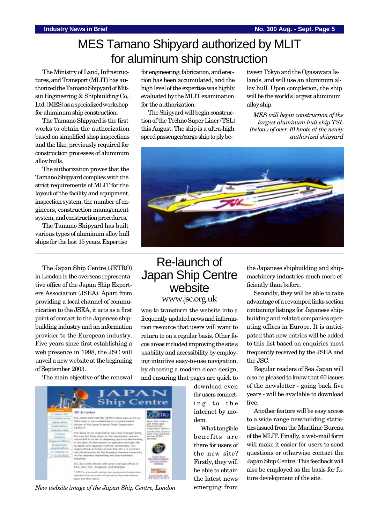# MES Tamano Shipyard authorized by MLIT for aluminum ship construction

The Ministry of Land, Infrastructures, and Transport (MLIT) has authorized the Tamano Shipyard of Mitsui Engineering & Shipbuilding Co,. Ltd. (MES) as a specialized workshop for aluminum ship construction.

The Tamano Shipyard is the first works to obtain the authorization based on simplified shop inspections and the like, previously required for construction processes of aluminum alloy hulls.

The authorization proves that the Tamano Shipyard complies with the strict requirements of MLIT for the layout of the facility and equipment, inspection system, the number of engineers, construction management system, and construction procedures.

The Tamano Shipyard has built various types of aluminum alloy hull ships for the last 15 years. Expertise

The Japan Ship Centre (JETRO) in London is the overseas representative office of the Japan Ship Exporters Association (JSEA). Apart from providing a local channel of communication to the JSEA, it acts as a first point of contact to the Japanese shipbuilding industry and an information provider to the European industry. Five years since first establishing a web presence in 1998, the JSC will unveil a new website at the beginning of September 2003.

The main objective of the renewal

for engineering, fabrication, and erection has been accumulated, and the high level of the expertise was highly evaluated by the MLIT examination for the authorization.

The Shipyard will begin construction of the Techno Super Liner (TSL) this August. The ship is a ultra-high speed passenger/cargo ship to ply between Tokyo and the Ogasawara Islands, and will use an aluminum alloy hull. Upon completion, the ship will be the world's largest aluminum alloy ship.

*MES will begin construction of the largest aluminum hull ship TSL (below) of over 40 knots at the newly authorized shipyard*



### Re-launch of Japan Ship Centre website www.jsc.org.uk

was to transform the website into a frequently updated news and information resource that users will want to return to on a regular basis. Other focus areas included improving the site's usability and accessibility by employing intuitive easy-to-use navigation, by choosing a modern clean design, and ensuring that pages are quick to



*New website image of the Japan Ship Centre, London* emerging from

download even for users connecting to the internet by modem.

What tangible benefits are there for users of the new site? Firstly, they will be able to obtain the latest news the Japanese shipbuilding and shipmachinery industries much more efficiently than before.

Secondly, they will be able to take advantage of a revamped links section containing listings for Japanese shipbuilding and related companies operating offices in Europe. It is anticipated that new entries will be added to this list based on enquiries most frequently received by the JSEA and the JSC.

Regular readers of Sea Japan will also be pleased to know that 60 issues of the newsletter - going back five years - will be available to download free.

Another feature will be easy access to a wide range newbuilding statistics issued from the Maritime Bureau of the MLIT. Finally, a web-mail form will make it easier for users to send questions or otherwise contact the Japan Ship Centre. This feedback will also be employed as the basis for future development of the site.